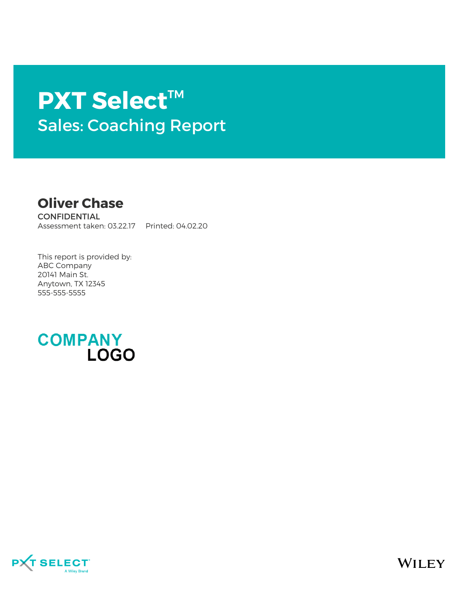# **PXT Select**™ Sales: Coaching Report

**Oliver Chase**

**CONFIDENTIAL** Assessment taken: 03.22.17 Printed: 04.02.20

This report is provided by: ABC Company 20141 Main St. Anytown, TX 12345 555-555-5555





WILEY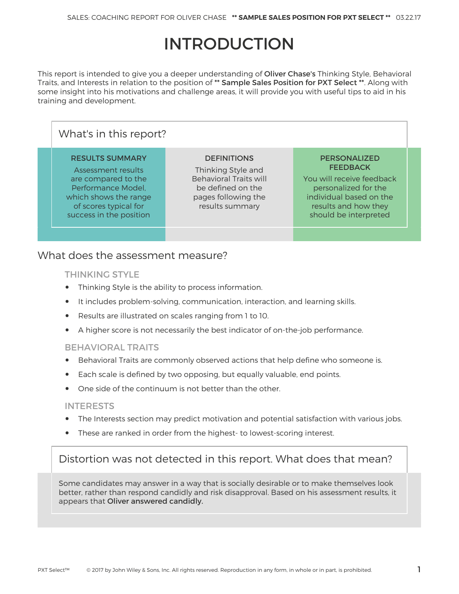# **INTRODUCTION**

This report is intended to give you a deeper understanding of Oliver Chase's Thinking Style, Behavioral Traits, and Interests in relation to the position of \*\* Sample Sales Position for PXT Select \*\*. Along with some insight into his motivations and challenge areas, it will provide you with useful tips to aid in his training and development.

| What's in this report?                                                                                                                                                 |                                                                                                                                          |                                                                                                                                                                         |  |  |  |  |
|------------------------------------------------------------------------------------------------------------------------------------------------------------------------|------------------------------------------------------------------------------------------------------------------------------------------|-------------------------------------------------------------------------------------------------------------------------------------------------------------------------|--|--|--|--|
| <b>RESULTS SUMMARY</b><br>Assessment results<br>are compared to the<br>Performance Model.<br>which shows the range<br>of scores typical for<br>success in the position | <b>DEFINITIONS</b><br>Thinking Style and<br><b>Behavioral Traits will</b><br>be defined on the<br>pages following the<br>results summary | <b>PERSONALIZED</b><br><b>FEEDBACK</b><br>You will receive feedback<br>personalized for the<br>individual based on the<br>results and how they<br>should be interpreted |  |  |  |  |
|                                                                                                                                                                        |                                                                                                                                          |                                                                                                                                                                         |  |  |  |  |

## What does the assessment measure?

#### THINKING STYLE

- Thinking Style is the ability to process information.
- It includes problem-solving, communication, interaction, and learning skills.
- Results are illustrated on scales ranging from 1 to 10.
- A higher score is not necessarily the best indicator of on-the-job performance.

#### BEHAVIORAL TRAITS

- Behavioral Traits are commonly observed actions that help define who someone is.
- Each scale is defined by two opposing, but equally valuable, end points.
- One side of the continuum is not better than the other.

#### INTERESTS

- The Interests section may predict motivation and potential satisfaction with various jobs.
- These are ranked in order from the highest- to lowest-scoring interest.

## Distortion was not detected in this report. What does that mean?

Some candidates may answer in a way that is socially desirable or to make themselves look better, rather than respond candidly and risk disapproval. Based on his assessment results, it appears that Oliver answered candidly.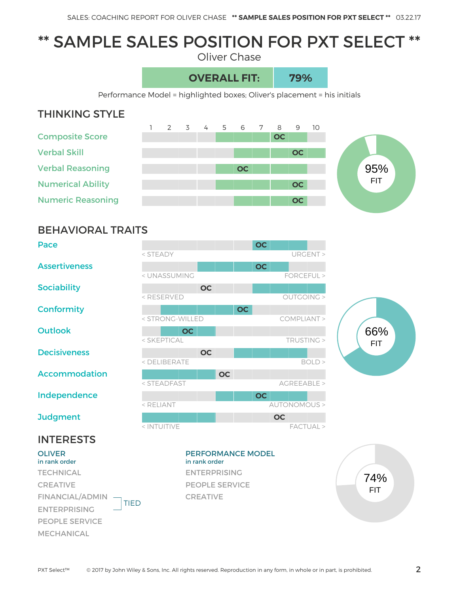# \*\* SAMPLE SALES POSITION FOR PXT SELECT \*\*

Oliver Chase

## **OVERALL FIT: 79%**

Performance Model = highlighted boxes; Oliver's placement = his initials

## THINKING STYLE





## BEHAVIORAL TRAITS

| Pace                 |                                                                              |           | <b>OC</b> |                      |
|----------------------|------------------------------------------------------------------------------|-----------|-----------|----------------------|
|                      | $<$ STEADY                                                                   |           |           | URGENT >             |
| <b>Assertiveness</b> |                                                                              |           | <b>OC</b> |                      |
|                      | < UNASSUMING                                                                 |           |           | FORCEFUL >           |
| <b>Sociability</b>   | <b>OC</b>                                                                    |           |           |                      |
|                      | <reserved< th=""><th></th><th></th><th><b>OUTGOING &gt;</b></th></reserved<> |           |           | <b>OUTGOING &gt;</b> |
| <b>Conformity</b>    |                                                                              |           | <b>OC</b> |                      |
|                      | < STRONG-WILLED                                                              |           |           | COMPLIANT >          |
| <b>Outlook</b>       | <b>OC</b>                                                                    |           |           |                      |
|                      | < SKEPTICAL                                                                  |           |           | TRUSTING >           |
| <b>Decisiveness</b>  | <b>OC</b>                                                                    |           |           |                      |
|                      | < DELIBERATE                                                                 |           |           | BOLD >               |
| <b>Accommodation</b> |                                                                              | <b>OC</b> |           |                      |
|                      | < STEADFAST                                                                  |           |           | AGREEABLE >          |
| Independence         |                                                                              |           | <b>OC</b> |                      |
|                      | $<$ RELIANT                                                                  |           |           | AUTONOMOUS >         |
| <b>Judgment</b>      |                                                                              |           |           | <b>OC</b>            |
|                      | < INTUITIVE                                                                  |           |           | FACTUAL >            |



## INTERESTS

**OLIVER** in rank order **TECHNICAL** CREATIVE FINANCIAL/ADMIN TIED ENTERPRISING PEOPLE SERVICE MECHANICAL

#### PERFORMANCE MODEL in rank order ENTERPRISING PEOPLE SERVICE CREATIVE

74% FIT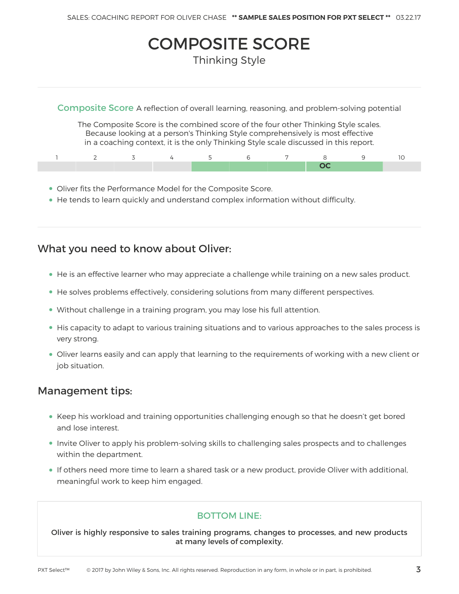## COMPOSITE SCORE Thinking Style

Composite Score A reflection of overall learning, reasoning, and problem-solving potential

The Composite Score is the combined score of the four other Thinking Style scales. Because looking at a person's Thinking Style comprehensively is most effective in a coaching context, it is the only Thinking Style scale discussed in this report.

- Oliver fits the Performance Model for the Composite Score.
- He tends to learn quickly and understand complex information without difficulty.

### What you need to know about Oliver:

- He is an effective learner who may appreciate a challenge while training on a new sales product.
- He solves problems effectively, considering solutions from many different perspectives.
- Without challenge in a training program, you may lose his full attention.
- His capacity to adapt to various training situations and to various approaches to the sales process is very strong.
- Oliver learns easily and can apply that learning to the requirements of working with a new client or job situation.

#### Management tips:

- Keep his workload and training opportunities challenging enough so that he doesn't get bored and lose interest.
- Invite Oliver to apply his problem-solving skills to challenging sales prospects and to challenges within the department.
- If others need more time to learn a shared task or a new product, provide Oliver with additional, meaningful work to keep him engaged.

#### BOTTOM LINE:

Oliver is highly responsive to sales training programs, changes to processes, and new products at many levels of complexity.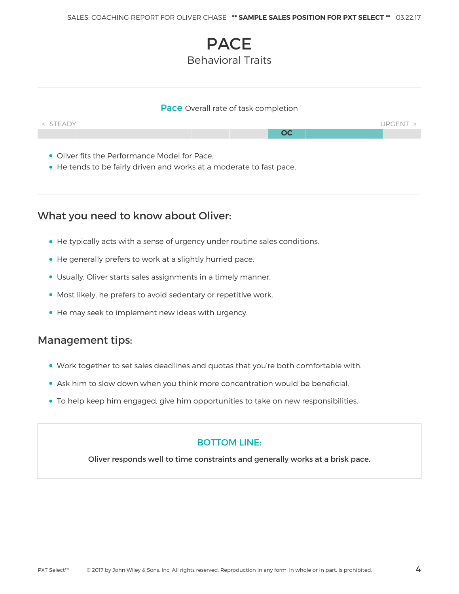## **PACE** Behavioral Traits

#### Pace Overall rate of task completion



- Oliver fits the Performance Model for Pace.
- He tends to be fairly driven and works at a moderate to fast pace.

## What you need to know about Oliver:

- He typically acts with a sense of urgency under routine sales conditions.
- He generally prefers to work at a slightly hurried pace.
- Usually, Oliver starts sales assignments in a timely manner.
- Most likely, he prefers to avoid sedentary or repetitive work.
- He may seek to implement new ideas with urgency.

## Management tips:

- Work together to set sales deadlines and quotas that you're both comfortable with.
- Ask him to slow down when you think more concentration would be beneficial.
- To help keep him engaged, give him opportunities to take on new responsibilities.

#### BOTTOM LINE:

Oliver responds well to time constraints and generally works at a brisk pace.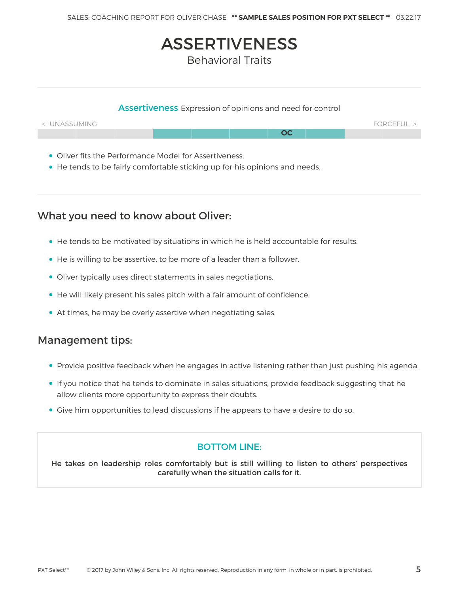## ASSERTIVENESS

Behavioral Traits

## Assertiveness Expression of opinions and need for control  $\sim$  UNASSUMING FORCEFUL  $\sim$ **OC**

- Oliver fits the Performance Model for Assertiveness.
- He tends to be fairly comfortable sticking up for his opinions and needs.

## What you need to know about Oliver:

- He tends to be motivated by situations in which he is held accountable for results.
- He is willing to be assertive, to be more of a leader than a follower.
- Oliver typically uses direct statements in sales negotiations.
- He will likely present his sales pitch with a fair amount of confidence.
- At times, he may be overly assertive when negotiating sales.

## Management tips:

- Provide positive feedback when he engages in active listening rather than just pushing his agenda.
- If you notice that he tends to dominate in sales situations, provide feedback suggesting that he allow clients more opportunity to express their doubts.
- Give him opportunities to lead discussions if he appears to have a desire to do so.

#### BOTTOM LINE:

He takes on leadership roles comfortably but is still willing to listen to others' perspectives carefully when the situation calls for it.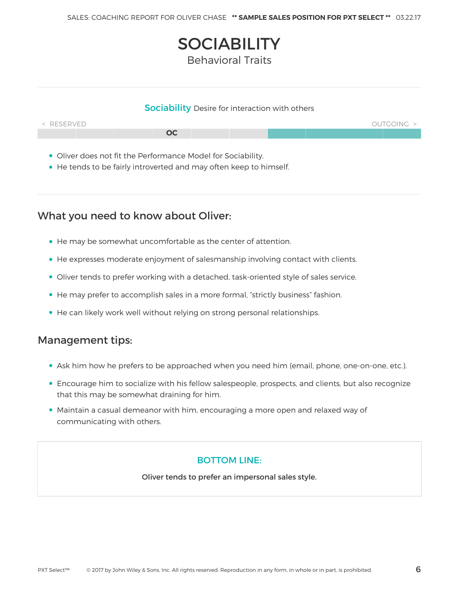# **SOCIABILITY**

Behavioral Traits

#### **Sociability** Desire for interaction with others



- Oliver does not fit the Performance Model for Sociability.
- He tends to be fairly introverted and may often keep to himself.

## What you need to know about Oliver:

- He may be somewhat uncomfortable as the center of attention.
- He expresses moderate enjoyment of salesmanship involving contact with clients.
- Oliver tends to prefer working with a detached, task-oriented style of sales service.
- He may prefer to accomplish sales in a more formal, "strictly business" fashion.
- He can likely work well without relying on strong personal relationships.

### Management tips:

- Ask him how he prefers to be approached when you need him (email, phone, one-on-one, etc.).
- Encourage him to socialize with his fellow salespeople, prospects, and clients, but also recognize that this may be somewhat draining for him.
- Maintain a casual demeanor with him, encouraging a more open and relaxed way of communicating with others.

#### BOTTOM LINE:

Oliver tends to prefer an impersonal sales style.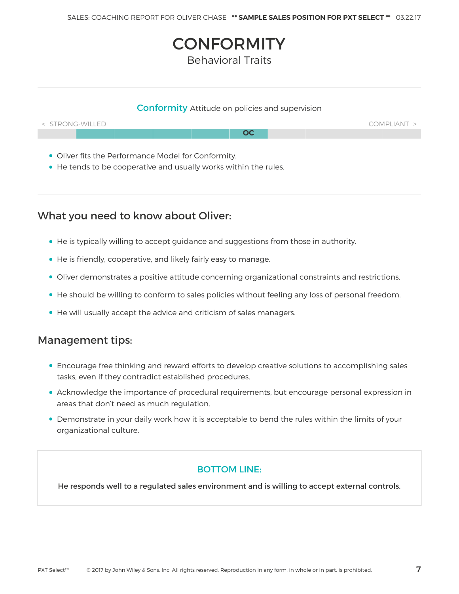# **CONFORMITY**

Behavioral Traits

#### Conformity Attitude on policies and supervision



- Oliver fits the Performance Model for Conformity.
- He tends to be cooperative and usually works within the rules.

## What you need to know about Oliver:

- He is typically willing to accept guidance and suggestions from those in authority.
- He is friendly, cooperative, and likely fairly easy to manage.
- Oliver demonstrates a positive attitude concerning organizational constraints and restrictions.
- He should be willing to conform to sales policies without feeling any loss of personal freedom.
- He will usually accept the advice and criticism of sales managers.

### Management tips:

- Encourage free thinking and reward efforts to develop creative solutions to accomplishing sales tasks, even if they contradict established procedures.
- Acknowledge the importance of procedural requirements, but encourage personal expression in areas that don't need as much regulation.
- Demonstrate in your daily work how it is acceptable to bend the rules within the limits of your organizational culture.

#### BOTTOM LINE:

He responds well to a regulated sales environment and is willing to accept external controls.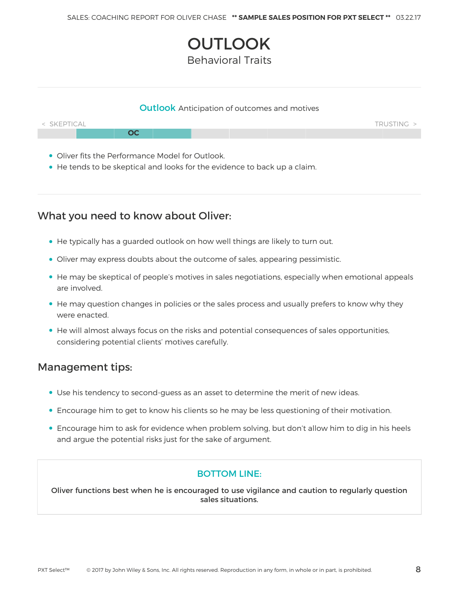# **OUTLOOK**

Behavioral Traits

#### **Outlook** Anticipation of outcomes and motives



- Oliver fits the Performance Model for Outlook.
- He tends to be skeptical and looks for the evidence to back up a claim.

## What you need to know about Oliver:

- He typically has a guarded outlook on how well things are likely to turn out.
- Oliver may express doubts about the outcome of sales, appearing pessimistic.
- He may be skeptical of people's motives in sales negotiations, especially when emotional appeals are involved.
- He may question changes in policies or the sales process and usually prefers to know why they were enacted.
- He will almost always focus on the risks and potential consequences of sales opportunities, considering potential clients' motives carefully.

### Management tips:

- Use his tendency to second-guess as an asset to determine the merit of new ideas.
- Encourage him to get to know his clients so he may be less questioning of their motivation.
- Encourage him to ask for evidence when problem solving, but don't allow him to dig in his heels and argue the potential risks just for the sake of argument.

#### BOTTOM LINE:

Oliver functions best when he is encouraged to use vigilance and caution to regularly question sales situations.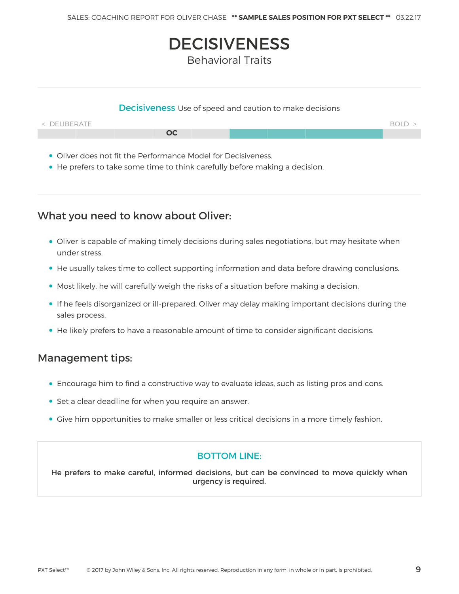## **DECISIVENESS**

Behavioral Traits

#### **Decisiveness** Use of speed and caution to make decisions



- Oliver does not fit the Performance Model for Decisiveness.
- He prefers to take some time to think carefully before making a decision.

## What you need to know about Oliver:

- Oliver is capable of making timely decisions during sales negotiations, but may hesitate when under stress.
- He usually takes time to collect supporting information and data before drawing conclusions.
- Most likely, he will carefully weigh the risks of a situation before making a decision.
- If he feels disorganized or ill-prepared, Oliver may delay making important decisions during the sales process.
- He likely prefers to have a reasonable amount of time to consider significant decisions.

### Management tips:

- Encourage him to find a constructive way to evaluate ideas, such as listing pros and cons.
- Set a clear deadline for when you require an answer.
- Give him opportunities to make smaller or less critical decisions in a more timely fashion.

#### BOTTOM LINE:

He prefers to make careful, informed decisions, but can be convinced to move quickly when urgency is required.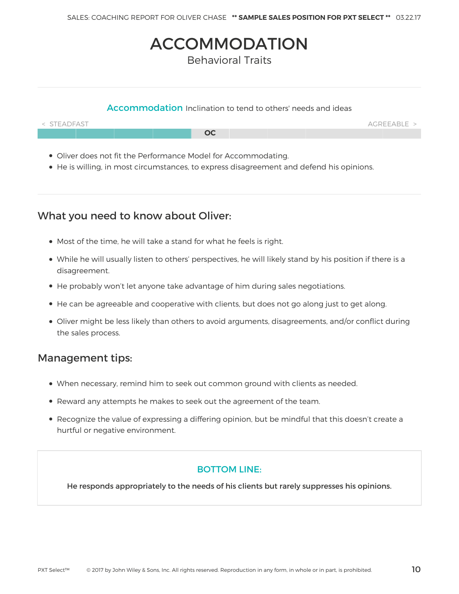## ACCOMMODATION

Behavioral Traits

#### Accommodation Inclination to tend to others' needs and ideas



- Oliver does not fit the Performance Model for Accommodating.
- He is willing, in most circumstances, to express disagreement and defend his opinions.

## What you need to know about Oliver:

- Most of the time, he will take a stand for what he feels is right.
- While he will usually listen to others' perspectives, he will likely stand by his position if there is a disagreement.
- He probably won't let anyone take advantage of him during sales negotiations.
- He can be agreeable and cooperative with clients, but does not go along just to get along.
- Oliver might be less likely than others to avoid arguments, disagreements, and/or conflict during the sales process.

## Management tips:

- When necessary, remind him to seek out common ground with clients as needed.
- Reward any attempts he makes to seek out the agreement of the team.
- Recognize the value of expressing a differing opinion, but be mindful that this doesn't create a hurtful or negative environment.

#### BOTTOM LINE:

He responds appropriately to the needs of his clients but rarely suppresses his opinions.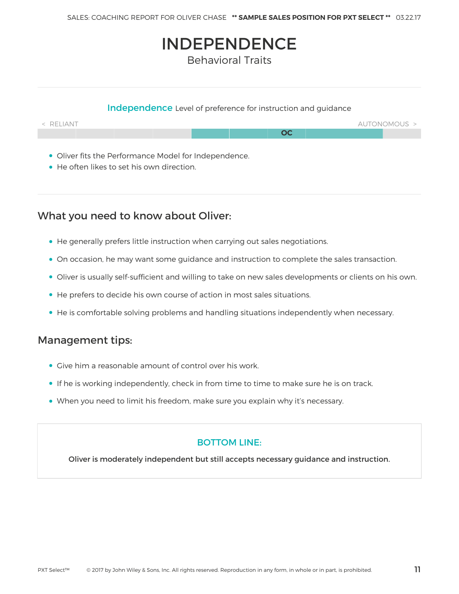## INDEPENDENCE

Behavioral Traits

#### Independence Level of preference for instruction and guidance



- Oliver fits the Performance Model for Independence.
- He often likes to set his own direction.

## What you need to know about Oliver:

- He generally prefers little instruction when carrying out sales negotiations.
- On occasion, he may want some guidance and instruction to complete the sales transaction.
- Oliver is usually self-sufficient and willing to take on new sales developments or clients on his own.
- He prefers to decide his own course of action in most sales situations.
- He is comfortable solving problems and handling situations independently when necessary.

## Management tips:

- Give him a reasonable amount of control over his work.
- If he is working independently, check in from time to time to make sure he is on track.
- When you need to limit his freedom, make sure you explain why it's necessary.

#### BOTTOM LINE:

Oliver is moderately independent but still accepts necessary guidance and instruction.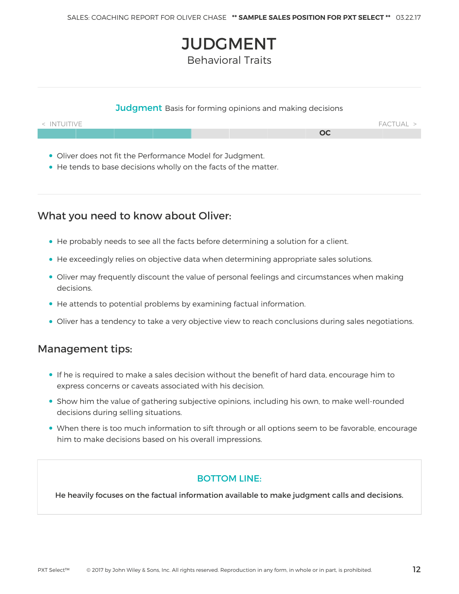# **JUDGMENT**

Behavioral Traits

#### **Judgment** Basis for forming opinions and making decisions



- Oliver does not fit the Performance Model for Judgment.
- He tends to base decisions wholly on the facts of the matter.

## What you need to know about Oliver:

- He probably needs to see all the facts before determining a solution for a client.
- He exceedingly relies on objective data when determining appropriate sales solutions.
- Oliver may frequently discount the value of personal feelings and circumstances when making decisions.
- He attends to potential problems by examining factual information.
- Oliver has a tendency to take a very objective view to reach conclusions during sales negotiations.

### Management tips:

- If he is required to make a sales decision without the benefit of hard data, encourage him to express concerns or caveats associated with his decision.
- Show him the value of gathering subjective opinions, including his own, to make well-rounded decisions during selling situations.
- When there is too much information to sift through or all options seem to be favorable, encourage him to make decisions based on his overall impressions.

#### BOTTOM LINE:

He heavily focuses on the factual information available to make judgment calls and decisions.